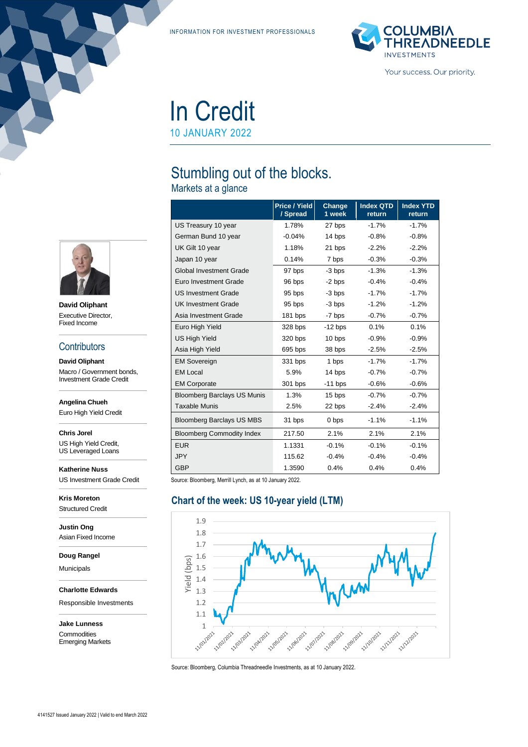INFORMATION FOR INVESTMENT PROFESSIONALS



In Credit

10 JANUARY 2022

# Stumbling out of the blocks.

Markets at a glance

|                                    | Price / Yield<br>/ Spread | Change<br>1 week | <b>Index QTD</b><br>return | <b>Index YTD</b><br>return |
|------------------------------------|---------------------------|------------------|----------------------------|----------------------------|
| US Treasury 10 year                | 1.78%                     | 27 bps           | $-1.7%$                    | $-1.7%$                    |
| German Bund 10 year                | $-0.04%$                  | 14 bps           | $-0.8%$                    | $-0.8\%$                   |
| UK Gilt 10 year                    | 1.18%                     | 21 bps           | $-2.2%$                    | $-2.2%$                    |
| Japan 10 year                      | 0.14%                     | 7 bps            | $-0.3%$                    | $-0.3%$                    |
| <b>Global Investment Grade</b>     | 97 bps                    | $-3$ bps         | $-1.3%$                    | $-1.3%$                    |
| Euro Investment Grade              | 96 bps                    | $-2$ bps         | $-0.4%$                    | $-0.4%$                    |
| <b>US Investment Grade</b>         | 95 bps                    | $-3$ bps         | $-1.7%$                    | $-1.7%$                    |
| <b>UK Investment Grade</b>         | 95 bps                    | -3 bps           | $-1.2%$                    | $-1.2%$                    |
| Asia Investment Grade              | 181 bps                   | -7 bps           | $-0.7%$                    | $-0.7%$                    |
| Euro High Yield                    | 328 bps                   | $-12$ bps        | 0.1%                       | 0.1%                       |
| <b>US High Yield</b>               | 320 bps                   | 10 bps           | $-0.9%$                    | $-0.9%$                    |
| Asia High Yield                    | 695 bps                   | 38 bps           | $-2.5%$                    | $-2.5%$                    |
| <b>EM Sovereign</b>                | 331 bps                   | 1 bps            | $-1.7%$                    | $-1.7%$                    |
| <b>EM Local</b>                    | 5.9%                      | 14 bps           | $-0.7%$                    | $-0.7%$                    |
| <b>EM Corporate</b>                | 301 bps                   | $-11$ bps        | $-0.6%$                    | $-0.6%$                    |
| <b>Bloomberg Barclays US Munis</b> | 1.3%                      | 15 bps           | $-0.7%$                    | $-0.7%$                    |
| <b>Taxable Munis</b>               | 2.5%                      | 22 bps           | $-2.4%$                    | $-2.4%$                    |
| <b>Bloomberg Barclays US MBS</b>   | 31 bps                    | 0 bps            | $-1.1%$                    | $-1.1%$                    |
| <b>Bloomberg Commodity Index</b>   | 217.50                    | 2.1%             | 2.1%                       | 2.1%                       |
| <b>EUR</b>                         | 1.1331                    | $-0.1%$          | $-0.1%$                    | $-0.1%$                    |
| <b>JPY</b>                         | 115.62                    | $-0.4%$          | $-0.4%$                    | $-0.4%$                    |
| <b>GBP</b>                         | 1.3590                    | 0.4%             | 0.4%                       | 0.4%                       |

Source: Bloomberg, Merrill Lynch, as at 10 January 2022.

### **Chart of the week: US 10-year yield (LTM)**



Source: Bloomberg, Columbia Threadneedle Investments, as at 10 January 2022.



**David Oliphant** Executive Director, Fixed Income

#### **Contributors**

**David Oliphant** Macro / Government bonds, Investment Grade Credit

**Angelina Chueh**

Euro High Yield Credit

**Chris Jorel**

US High Yield Credit, US Leveraged Loans

**Katherine Nuss** US Investment Grade Credit

**Kris Moreton** Structured Credit

**Justin Ong** Asian Fixed Income

**Doug Rangel**

Municipals

**Charlotte Edwards**

Responsible Investments

**Jake Lunness Commodities** Emerging Markets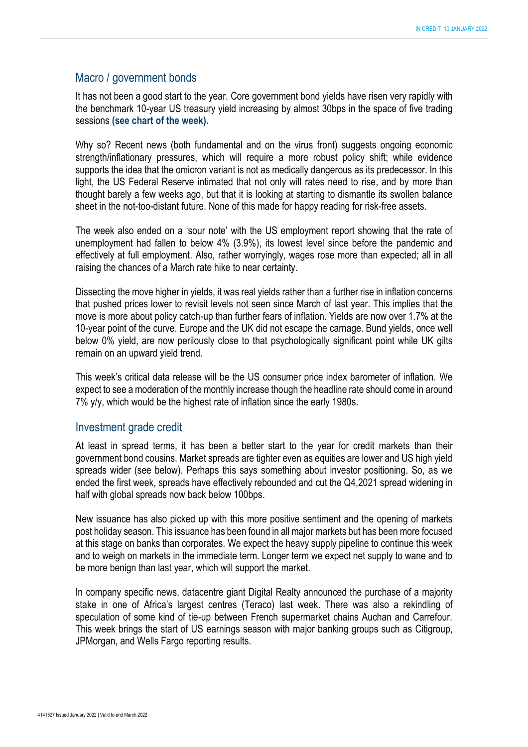## Macro / government bonds

It has not been a good start to the year. Core government bond yields have risen very rapidly with the benchmark 10-year US treasury yield increasing by almost 30bps in the space of five trading sessions **(see chart of the week).**

Why so? Recent news (both fundamental and on the virus front) suggests ongoing economic strength/inflationary pressures, which will require a more robust policy shift; while evidence supports the idea that the omicron variant is not as medically dangerous as its predecessor. In this light, the US Federal Reserve intimated that not only will rates need to rise, and by more than thought barely a few weeks ago, but that it is looking at starting to dismantle its swollen balance sheet in the not-too-distant future. None of this made for happy reading for risk-free assets.

The week also ended on a 'sour note' with the US employment report showing that the rate of unemployment had fallen to below 4% (3.9%), its lowest level since before the pandemic and effectively at full employment. Also, rather worryingly, wages rose more than expected; all in all raising the chances of a March rate hike to near certainty.

Dissecting the move higher in yields, it was real yields rather than a further rise in inflation concerns that pushed prices lower to revisit levels not seen since March of last year. This implies that the move is more about policy catch-up than further fears of inflation. Yields are now over 1.7% at the 10-year point of the curve. Europe and the UK did not escape the carnage. Bund yields, once well below 0% yield, are now perilously close to that psychologically significant point while UK gilts remain on an upward yield trend.

This week's critical data release will be the US consumer price index barometer of inflation. We expect to see a moderation of the monthly increase though the headline rate should come in around 7% y/y, which would be the highest rate of inflation since the early 1980s.

## Investment grade credit

At least in spread terms, it has been a better start to the year for credit markets than their government bond cousins. Market spreads are tighter even as equities are lower and US high yield spreads wider (see below). Perhaps this says something about investor positioning. So, as we ended the first week, spreads have effectively rebounded and cut the Q4,2021 spread widening in half with global spreads now back below 100bps.

New issuance has also picked up with this more positive sentiment and the opening of markets post holiday season. This issuance has been found in all major markets but has been more focused at this stage on banks than corporates. We expect the heavy supply pipeline to continue this week and to weigh on markets in the immediate term. Longer term we expect net supply to wane and to be more benign than last year, which will support the market.

In company specific news, datacentre giant Digital Realty announced the purchase of a majority stake in one of Africa's largest centres (Teraco) last week. There was also a rekindling of speculation of some kind of tie-up between French supermarket chains Auchan and Carrefour. This week brings the start of US earnings season with major banking groups such as Citigroup, JPMorgan, and Wells Fargo reporting results.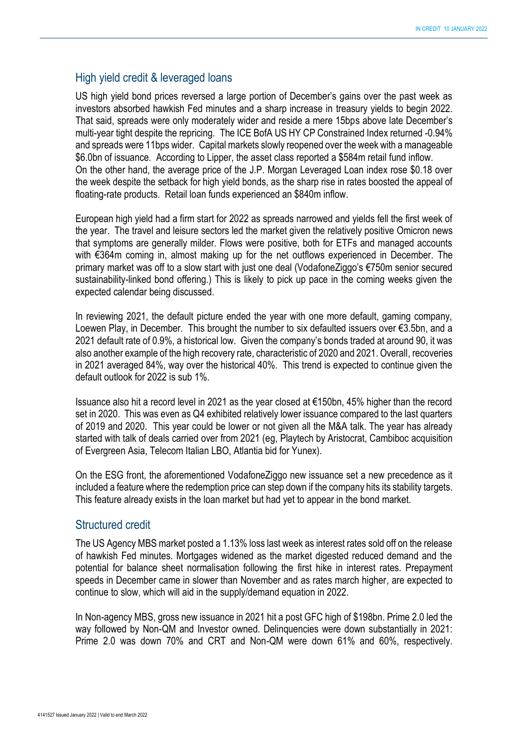## High yield credit & leveraged loans

US high yield bond prices reversed a large portion of December's gains over the past week as investors absorbed hawkish Fed minutes and a sharp increase in treasury yields to begin 2022. That said, spreads were only moderately wider and reside a mere 15bps above late December's multi-year tight despite the repricing. The ICE BofA US HY CP Constrained Index returned -0.94% and spreads were 11bps wider. Capital markets slowly reopened over the week with a manageable \$6.0bn of issuance. According to Lipper, the asset class reported a \$584m retail fund inflow. On the other hand, the average price of the J.P. Morgan Leveraged Loan index rose \$0.18 over the week despite the setback for high yield bonds, as the sharp rise in rates boosted the appeal of floating-rate products. Retail loan funds experienced an \$840m inflow.

European high yield had a firm start for 2022 as spreads narrowed and yields fell the first week of the year. The travel and leisure sectors led the market given the relatively positive Omicron news that symptoms are generally milder. Flows were positive, both for ETFs and managed accounts with €364m coming in, almost making up for the net outflows experienced in December. The primary market was off to a slow start with just one deal (VodafoneZiggo's €750m senior secured sustainability-linked bond offering.) This is likely to pick up pace in the coming weeks given the expected calendar being discussed.

In reviewing 2021, the default picture ended the year with one more default, gaming company, Loewen Play, in December. This brought the number to six defaulted issuers over €3.5bn, and a 2021 default rate of 0.9%, a historical low. Given the company's bonds traded at around 90, it was also another example of the high recovery rate, characteristic of 2020 and 2021. Overall, recoveries in 2021 averaged 84%, way over the historical 40%. This trend is expected to continue given the default outlook for 2022 is sub 1%.

Issuance also hit a record level in 2021 as the year closed at €150bn, 45% higher than the record set in 2020. This was even as Q4 exhibited relatively lower issuance compared to the last quarters of 2019 and 2020. This year could be lower or not given all the M&A talk. The year has already started with talk of deals carried over from 2021 (eg, Playtech by Aristocrat, Cambiboc acquisition of Evergreen Asia, Telecom Italian LBO, Atlantia bid for Yunex).

On the ESG front, the aforementioned VodafoneZiggo new issuance set a new precedence as it included a feature where the redemption price can step down if the company hits its stability targets. This feature already exists in the loan market but had yet to appear in the bond market.

### Structured credit

The US Agency MBS market posted a 1.13% loss last week as interest rates sold off on the release of hawkish Fed minutes. Mortgages widened as the market digested reduced demand and the potential for balance sheet normalisation following the first hike in interest rates. Prepayment speeds in December came in slower than November and as rates march higher, are expected to continue to slow, which will aid in the supply/demand equation in 2022.

In Non-agency MBS, gross new issuance in 2021 hit a post GFC high of \$198bn. Prime 2.0 led the way followed by Non-QM and Investor owned. Delinquencies were down substantially in 2021: Prime 2.0 was down 70% and CRT and Non-QM were down 61% and 60%, respectively.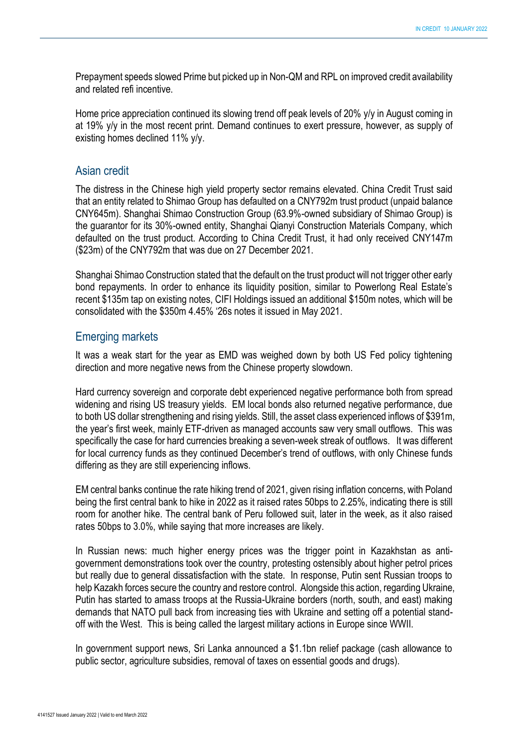Prepayment speeds slowed Prime but picked up in Non-QM and RPL on improved credit availability and related refi incentive.

Home price appreciation continued its slowing trend off peak levels of 20% y/y in August coming in at 19% y/y in the most recent print. Demand continues to exert pressure, however, as supply of existing homes declined 11% y/y.

## Asian credit

The distress in the Chinese high yield property sector remains elevated. China Credit Trust said that an entity related to Shimao Group has defaulted on a CNY792m trust product (unpaid balance CNY645m). Shanghai Shimao Construction Group (63.9%-owned subsidiary of Shimao Group) is the guarantor for its 30%-owned entity, Shanghai Qianyi Construction Materials Company, which defaulted on the trust product. According to China Credit Trust, it had only received CNY147m (\$23m) of the CNY792m that was due on 27 December 2021.

Shanghai Shimao Construction stated that the default on the trust product will not trigger other early bond repayments. In order to enhance its liquidity position, similar to Powerlong Real Estate's recent \$135m tap on existing notes, CIFI Holdings issued an additional \$150m notes, which will be consolidated with the \$350m 4.45% '26s notes it issued in May 2021.

## Emerging markets

It was a weak start for the year as EMD was weighed down by both US Fed policy tightening direction and more negative news from the Chinese property slowdown.

Hard currency sovereign and corporate debt experienced negative performance both from spread widening and rising US treasury yields. EM local bonds also returned negative performance, due to both US dollar strengthening and rising yields. Still, the asset class experienced inflows of \$391m, the year's first week, mainly ETF-driven as managed accounts saw very small outflows. This was specifically the case for hard currencies breaking a seven-week streak of outflows. It was different for local currency funds as they continued December's trend of outflows, with only Chinese funds differing as they are still experiencing inflows.

EM central banks continue the rate hiking trend of 2021, given rising inflation concerns, with Poland being the first central bank to hike in 2022 as it raised rates 50bps to 2.25%, indicating there is still room for another hike. The central bank of Peru followed suit, later in the week, as it also raised rates 50bps to 3.0%, while saying that more increases are likely.

In Russian news: much higher energy prices was the trigger point in Kazakhstan as antigovernment demonstrations took over the country, protesting ostensibly about higher petrol prices but really due to general dissatisfaction with the state. In response, Putin sent Russian troops to help Kazakh forces secure the country and restore control. Alongside this action, regarding Ukraine, Putin has started to amass troops at the Russia-Ukraine borders (north, south, and east) making demands that NATO pull back from increasing ties with Ukraine and setting off a potential standoff with the West. This is being called the largest military actions in Europe since WWII.

In government support news, Sri Lanka announced a \$1.1bn relief package (cash allowance to public sector, agriculture subsidies, removal of taxes on essential goods and drugs).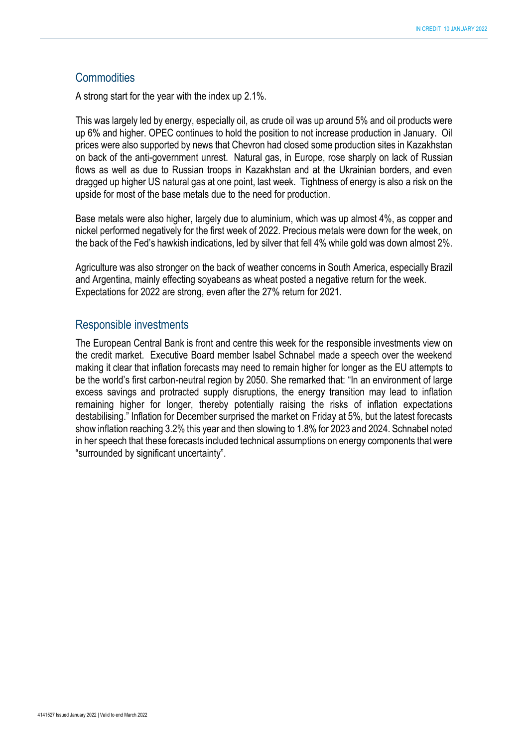## **Commodities**

A strong start for the year with the index up 2.1%.

This was largely led by energy, especially oil, as crude oil was up around 5% and oil products were up 6% and higher. OPEC continues to hold the position to not increase production in January. Oil prices were also supported by news that Chevron had closed some production sites in Kazakhstan on back of the anti-government unrest. Natural gas, in Europe, rose sharply on lack of Russian flows as well as due to Russian troops in Kazakhstan and at the Ukrainian borders, and even dragged up higher US natural gas at one point, last week. Tightness of energy is also a risk on the upside for most of the base metals due to the need for production.

Base metals were also higher, largely due to aluminium, which was up almost 4%, as copper and nickel performed negatively for the first week of 2022. Precious metals were down for the week, on the back of the Fed's hawkish indications, led by silver that fell 4% while gold was down almost 2%.

Agriculture was also stronger on the back of weather concerns in South America, especially Brazil and Argentina, mainly effecting soyabeans as wheat posted a negative return for the week. Expectations for 2022 are strong, even after the 27% return for 2021.

## Responsible investments

The European Central Bank is front and centre this week for the responsible investments view on the credit market. Executive Board member Isabel Schnabel made a speech over the weekend making it clear that inflation forecasts may need to remain higher for longer as the EU attempts to be the world's first carbon-neutral region by 2050. She remarked that: "In an environment of large excess savings and protracted supply disruptions, the energy transition may lead to inflation remaining higher for longer, thereby potentially raising the risks of inflation expectations destabilising." Inflation for December surprised the market on Friday at 5%, but the latest forecasts show inflation reaching 3.2% this year and then slowing to 1.8% for 2023 and 2024. Schnabel noted in her speech that these forecasts included technical assumptions on energy components that were "surrounded by significant uncertainty".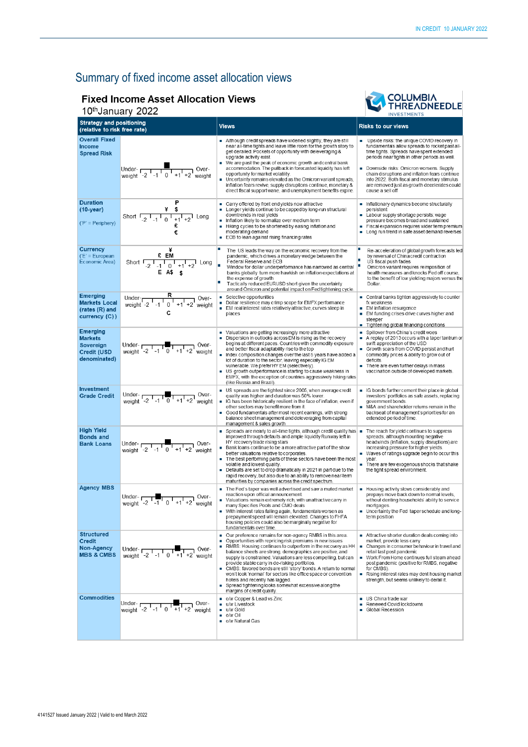# Summary of fixed income asset allocation views

# **Fixed Income Asset Allocation Views**

 $10<sup>th</sup>$  lenyery 2022



| Tu∾uanuary zuzz<br><b>INVESTMENTS</b>                                                |                                                                                                                                             |                                                                                                                                                                                                                                                                                                                                                                                                                                                                                                                                                                                                                                           |                                                                                                                                                                                                                                                                                                                                                                                                              |  |  |
|--------------------------------------------------------------------------------------|---------------------------------------------------------------------------------------------------------------------------------------------|-------------------------------------------------------------------------------------------------------------------------------------------------------------------------------------------------------------------------------------------------------------------------------------------------------------------------------------------------------------------------------------------------------------------------------------------------------------------------------------------------------------------------------------------------------------------------------------------------------------------------------------------|--------------------------------------------------------------------------------------------------------------------------------------------------------------------------------------------------------------------------------------------------------------------------------------------------------------------------------------------------------------------------------------------------------------|--|--|
| <b>Strategy and positioning</b><br>(relative to risk free rate)                      |                                                                                                                                             | <b>Views</b>                                                                                                                                                                                                                                                                                                                                                                                                                                                                                                                                                                                                                              | <b>Risks to our views</b>                                                                                                                                                                                                                                                                                                                                                                                    |  |  |
| <b>Overall Fixed</b><br><b>Income</b><br><b>Spread Risk</b>                          | Under-<br>weight $-2$ $\begin{array}{ c c c c c }\n\hline\n1 & 1 & 1 & +1 & +2 \\ \hline\n\end{array}$ Over-                                | Although credit spreads have widened slightly, they are still<br>near all-time tights and leave little room for the growth story to<br>get derailed. Pockets of opportunity with deleveraging &<br>upgrade activity exist.<br>We are past the peak of economic growth and central bank<br>accommodation. The pullback in forecasted liquidity has left<br>opportunity for market volatility.<br>Uncertainty remains elevated as the Omicron variant spreads,<br>inflation fears revive, supply disruptions continue, monetary &<br>direct fiscal support wane, and unemployment benefits expire.                                          | ■ Upside risks: the unique COVID recovery in<br>fundamentals allow spreads to rocket past all-<br>time tights. Spreads have spent extended<br>periods near tights in other periods as well.<br>Downside risks: Omicron worsens. Supply<br>chain disruptions and inflation fears continue<br>into 2022. Both fiscal and monetary stimulus<br>are removed just as growth decelerates could<br>cause a sell off |  |  |
| <b>Duration</b><br>$(10-year)$<br>$('P' = Periphery)$                                | Short $\frac{4}{-2}$ $\frac{4}{1}$ $\frac{4}{0}$ $\frac{4}{1}$ $\frac{4}{1}$ $\frac{4}{1}$ $\frac{4}{1}$ $\frac{4}{1}$ Long<br>€            | Carry offered by front end yields now attractive<br>×<br>Longer yields continue to be capped by long-run structural<br>downtrends in real yields<br>Inflation likely to normalize over medium term<br>Hiking cycles to be shortened by easing inflation and<br>moderating demand<br>ECB to lean against rising financing rates<br>п                                                                                                                                                                                                                                                                                                       | Inflationary dynamics become structurally<br>persistent<br>Labour supply shortage persists; wage<br>pressure becomes broad and sustained<br>Fiscal expansion requires wider term premium<br>٠<br>Long run trend in safe asset demand reverses<br>m.                                                                                                                                                          |  |  |
| <b>Currency</b><br>$(E' = European$<br>Economic Area)                                | Short $\frac{\mathbf{E} \text{ EM}}{-2 \cdot 1 \cdot 1 \cdot 0 \cdot 1 + 1 \cdot 2}$ Long<br>$E$ A\$ s                                      | The US leads the way on the economic recovery from the<br>pandemic, which drives a monetary wedge between the<br>Federal Reserve and ECB<br>Window for dollar underperformance has narrowed as central<br>banks globally turn more hawkish on inflation expectations at<br>the expense of growth<br>п<br>Tactically reduced EURUSD short given the uncertainty<br>around Omicron and potential impact on Fed tightening cycle.                                                                                                                                                                                                            | ш<br>Re-acceleration of global growth forecasts led<br>by reversal of China credit contraction<br>п<br>US fiscal push fades<br>D<br>Omicron variant requires reimposition of<br>health measures and knocks Fed off course,<br>to the benefit of low yielding majors versus the<br>Dollar.                                                                                                                    |  |  |
| <b>Emerging</b><br><b>Markets Local</b><br>(rates (R) and<br>currency (C))           | Under- $R$<br>weight -2 $-1$ $1$ $0$ $+1$ $+2$ weight<br>с                                                                                  | Selective opportunities<br>Dollar resilience may crimp scope for EMFX performance<br>EM real interest rates relatively attractive, curves steep in<br>places                                                                                                                                                                                                                                                                                                                                                                                                                                                                              | ■ Central banks tighten aggressively to counter<br>fx weakness<br>• EM inflation resurgence<br>• EM funding crises drive curves higher and<br>steeper<br>Tightening global financing conditions                                                                                                                                                                                                              |  |  |
| <b>Emerging</b><br><b>Markets</b><br>Sovereign<br><b>Credit (USD</b><br>denominated) | Under- $\frac{1}{2}$ -1 $\frac{1}{0}$ $\frac{1}{1+1}$ +2 weight                                                                             | Valuations are getting increasingly more attractive<br>Dispersion in outlooks across EM is rising as the recovery<br>begins at different paces. Countries with commodity exposure<br>and better fiscal adaptability rise to the top<br>Index composition changes over the last 5 years have added a<br>lot of duration to the sector, leaving especially IG EM<br>vulnerable. We prefer HY EM (selectively).<br>US growth outperformance is starting to cause weakness in<br>m.<br>EMFX, with the exception of countries aggressively hiking rates<br>(like Russia and Brazil).                                                           | Spillover from China's credit woes<br>A replay of 2013 occurs with a taper tantrum or<br>swift appreciation of the USD<br>Growth scars from COVID persist and hurt<br>commodity prices & ability to grow out of<br>deficits.<br>There are even further delays in mass<br>٠<br>vaccination outside of developed markets.                                                                                      |  |  |
| <b>Investment</b><br><b>Grade Credit</b>                                             | Under- $\frac{1}{12}$ -1 0 $\frac{1}{12}$ +1 +2 weight                                                                                      | US spreads are the tightest since 2005, when average credit<br>quality was higher and duration was 50% lower.<br>IG has been historically resilient in the face of inflation, even if<br>other sectors may benefit more from it.<br>Good fundamentals after most recent earnings, with strong<br>a.<br>balance sheet management and deleveraging from capital<br>management & sales growth                                                                                                                                                                                                                                                | G bonds further cement their place in global<br>investors' portfolios as safe assets, replacing<br>government bonds.<br>M&A and shareholder returns remain in the<br>backseat of management's priorities for an<br>extended period of time.                                                                                                                                                                  |  |  |
| <b>High Yield</b><br><b>Bonds and</b><br><b>Bank Loans</b>                           | Under- $\frac{1}{\text{weight}}$ -2 $\frac{1}{1}$ -1 $\frac{1}{0}$ +1 +2 weight                                                             | Spreads are nearly to all-time tights, although credit quality has<br>improved through defaults and ample liquidity Runway left in<br>HY recovery trade rising stars<br>Bank loans continue to be a more attractive part of the show<br>better valuations relative to corporates.<br>The best performing parts of these sectors have been the most<br>volatile and lowest quality.<br>Defaults are set to drop dramatically in 2021 in part due to the<br>m.<br>rapid recovery, but also due to an ability to remove near-term<br>maturities by companies across the credit spectrum.                                                     | ×<br>The reach for yield continues to suppress<br>spreads, although mounting negative<br>headwinds (inflation, supply disruptions) are<br>increasing pressure for higher yields.<br>Waves of ratings upgrade begin to occur this<br>vear.<br>There are few exogenous shocks that shake<br>the tight spread environment.                                                                                      |  |  |
| <b>Agency MBS</b>                                                                    | Under- $\frac{1}{2}$ $\frac{1}{2}$ $\frac{1}{2}$ $\frac{1}{2}$ $\frac{1}{2}$ $\frac{1}{2}$ $\frac{1}{2}$ $\frac{1}{2}$ weight               | The Fed's taper was well advertised and saw a muted market<br>reaction upon official announcement.<br>Valuations remain extremely rich, with unattractive carry in<br>many Specifies Pools and CMO deals<br>With interest rates falling again, fundamentals worsen as<br>prepayment speed will remain elevated. Changes to FHFA<br>housing policies could also be marginally negative for<br>fundamentals over time.                                                                                                                                                                                                                      | Housing activity slows considerably and<br>prepays move back down to normal levels.<br>without denting households' ability to service<br>mortgages.<br>■ Uncertainty the Fed taper schedule and long-<br>term position                                                                                                                                                                                       |  |  |
| <b>Structured</b><br><b>Credit</b><br>Non-Agency<br><b>MBS &amp; CMBS</b>            | Under-<br>weight $-2$ $-1$ $0$ $+1$ $+2$ weight                                                                                             | Our preference remains for non-agency RMBS in this area.<br>Opportunities with repricing risk premiums in new issues<br>RMBS: Housing continues to outperform in the recovery as HH<br>balance sheets are strong, demographics are positive, and<br>supply is constrained. Valuations are less compelling, but can<br>provide stable carry in de-risking portfolios.<br>CMBS: favored bonds are still 'story' bonds. A return to normal<br>a.<br>won't look 'normal' for sectors like office space or convention<br>hotels and recently has lagged.<br>Spread tightening looks somewhat excessive along the<br>margins of credit quality. | Attractive shorter duration deals coming into<br>market, provide less carry<br>Changes in consumer behaviour in travel and<br>m.<br>retail last post pandemic<br>Work From Home continues full steam ahead<br>post pandemic (positive for RMBS, negative<br>for CMBS).<br>Rising interest rates may dent housing market<br>strength, but seems unlikely to derail it.                                        |  |  |
| <b>Commodities</b>                                                                   | Under- $\frac{1}{1}$ $\frac{1}{1}$ $\frac{1}{1}$ $\frac{1}{1}$ $\frac{1}{1}$ $\frac{1}{1}$ $\frac{1}{1}$ $\frac{1}{1}$ $\frac{1}{1}$ weight | o/w Copper & Lead vs Zinc<br>u/w Livestock<br>$u/w$ Gold<br>o/w Oil<br>o/w Natural Gas                                                                                                                                                                                                                                                                                                                                                                                                                                                                                                                                                    | <b>US China trade war</b><br>Renewed Covid lockdowns<br>Global Recession                                                                                                                                                                                                                                                                                                                                     |  |  |